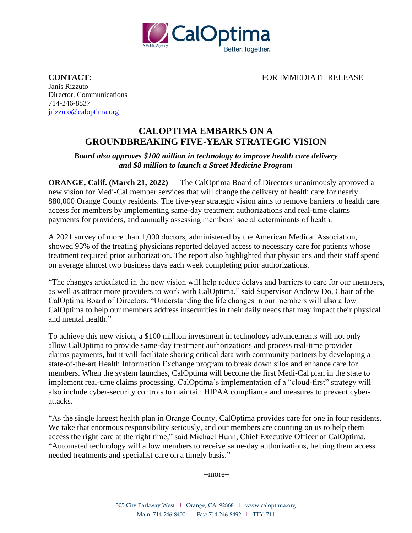

**CONTACT:** FOR IMMEDIATE RELEASE

Janis Rizzuto Director, Communications 714-246-8837 [jrizzuto@caloptima.org](mailto:jrizzuto@caloptima.org)

## **CALOPTIMA EMBARKS ON A GROUNDBREAKING FIVE-YEAR STRATEGIC VISION**

## *Board also approves \$100 million in technology to improve health care delivery and \$8 million to launch a Street Medicine Program*

**ORANGE, Calif. (March 21, 2022)** — The CalOptima Board of Directors unanimously approved a new vision for Medi-Cal member services that will change the delivery of health care for nearly 880,000 Orange County residents. The five-year strategic vision aims to remove barriers to health care access for members by implementing same-day treatment authorizations and real-time claims payments for providers, and annually assessing members' social determinants of health.

A 2021 survey of more than 1,000 doctors, administered by the American Medical Association, showed 93% of the treating physicians reported delayed access to necessary care for patients whose treatment required prior authorization. The report also highlighted that physicians and their staff spend on average almost two business days each week completing prior authorizations.

"The changes articulated in the new vision will help reduce delays and barriers to care for our members, as well as attract more providers to work with CalOptima," said Supervisor Andrew Do, Chair of the CalOptima Board of Directors. "Understanding the life changes in our members will also allow CalOptima to help our members address insecurities in their daily needs that may impact their physical and mental health."

To achieve this new vision, a \$100 million investment in technology advancements will not only allow CalOptima to provide same-day treatment authorizations and process real-time provider claims payments, but it will facilitate sharing critical data with community partners by developing a state-of-the-art Health Information Exchange program to break down silos and enhance care for members. When the system launches, CalOptima will become the first Medi-Cal plan in the state to implement real-time claims processing. CalOptima's implementation of a "cloud-first" strategy will also include cyber-security controls to maintain HIPAA compliance and measures to prevent cyberattacks.

"As the single largest health plan in Orange County, CalOptima provides care for one in four residents. We take that enormous responsibility seriously, and our members are counting on us to help them access the right care at the right time," said Michael Hunn, Chief Executive Officer of CalOptima. "Automated technology will allow members to receive same-day authorizations, helping them access needed treatments and specialist care on a timely basis."

–more–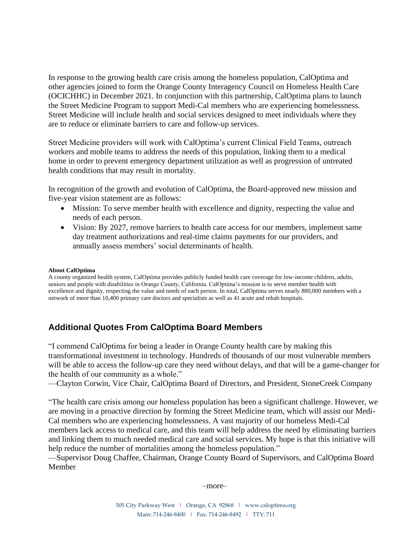In response to the growing health care crisis among the homeless population, CalOptima and other agencies joined to form the Orange County Interagency Council on Homeless Health Care (OCICHHC) in December 2021. In conjunction with this partnership, CalOptima plans to launch the Street Medicine Program to support Medi-Cal members who are experiencing homelessness. Street Medicine will include health and social services designed to meet individuals where they are to reduce or eliminate barriers to care and follow-up services.

Street Medicine providers will work with CalOptima's current Clinical Field Teams, outreach workers and mobile teams to address the needs of this population, linking them to a medical home in order to prevent emergency department utilization as well as progression of untreated health conditions that may result in mortality.

In recognition of the growth and evolution of CalOptima, the Board-approved new mission and five-year vision statement are as follows:

- Mission: To serve member health with excellence and dignity, respecting the value and needs of each person.
- Vision: By 2027, remove barriers to health care access for our members, implement same day treatment authorizations and real-time claims payments for our providers, and annually assess members' social determinants of health.

## **About CalOptima**

A county organized health system, CalOptima provides publicly funded health care coverage for low-income children, adults, seniors and people with disabilities in Orange County, California. CalOptima's mission is to serve member health with excellence and dignity, respecting the value and needs of each person. In total, CalOptima serves nearly 880,000 members with a network of more than 10,400 primary care doctors and specialists as well as 41 acute and rehab hospitals.

## **Additional Quotes From CalOptima Board Members**

"I commend CalOptima for being a leader in Orange County health care by making this transformational investment in technology. Hundreds of thousands of our most vulnerable members will be able to access the follow-up care they need without delays, and that will be a game-changer for the health of our community as a whole."

—Clayton Corwin, Vice Chair, CalOptima Board of Directors, and President, StoneCreek Company

"The health care crisis among our homeless population has been a significant challenge. However, we are moving in a proactive direction by forming the Street Medicine team, which will assist our Medi-Cal members who are experiencing homelessness. A vast majority of our homeless Medi-Cal members lack access to medical care, and this team will help address the need by eliminating barriers and linking them to much needed medical care and social services. My hope is that this initiative will help reduce the number of mortalities among the homeless population."

—Supervisor Doug Chaffee, Chairman, Orange County Board of Supervisors, and CalOptima Board Member

–more–